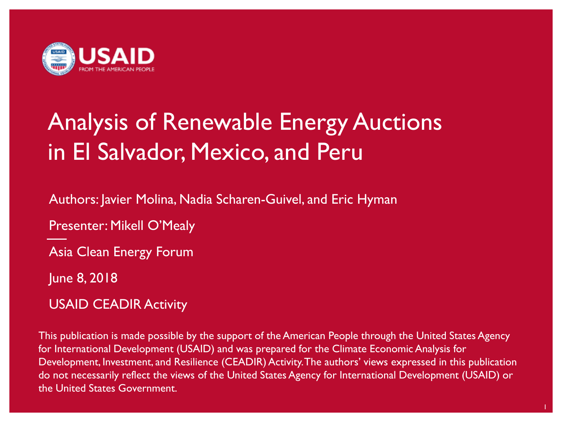

# Analysis of Renewable Energy Auctions in El Salvador, Mexico, and Peru

Authors: Javier Molina, Nadia Scharen-Guivel, and Eric Hyman

Presenter: Mikell O'Mealy

Asia Clean Energy Forum

June 8, 2018

USAID CEADIR Activity

This publication is made possible by the support of the American People through the United States Agency for International Development (USAID) and was prepared for the Climate Economic Analysis for Development, Investment, and Resilience (CEADIR) Activity. The authors' views expressed in this publication do not necessarily reflect the views of the United States Agency for International Development (USAID) or the United States Government.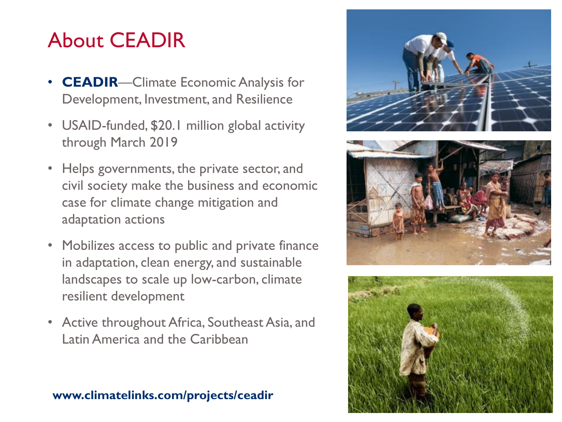# About CEADIR

- **CEADIR**—Climate Economic Analysis for Development, Investment, and Resilience
- USAID -funded, \$20.1 million global activity through March 2019
- Helps governments, the private sector, and civil society make the business and economic case for climate change mitigation and adaptation actions
- Mobilizes access to public and private finance in adaptation, clean energy, and sustainable landscapes to scale up low -carbon, climate resilient development
- Active throughout Africa, Southeast Asia, and Latin America and the Caribbean

#### **www.climatelinks.com/projects/ceadir**





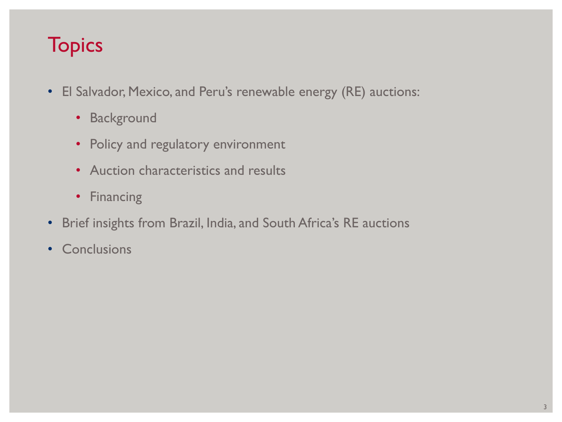# **Topics**

- El Salvador, Mexico, and Peru's renewable energy (RE) auctions:
	- Background
	- Policy and regulatory environment
	- Auction characteristics and results
	- Financing
- Brief insights from Brazil, India, and South Africa's RE auctions
- Conclusions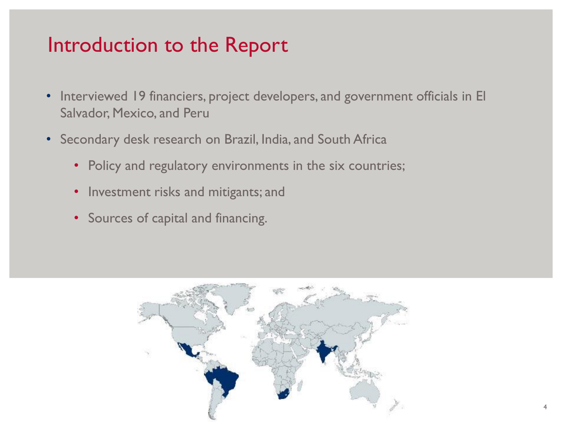## Introduction to the Report

- Interviewed 19 financiers, project developers, and government officials in El Salvador, Mexico, and Peru
- Secondary desk research on Brazil, India, and South Africa
	- Policy and regulatory environments in the six countries;
	- Investment risks and mitigants; and
	- Sources of capital and financing.

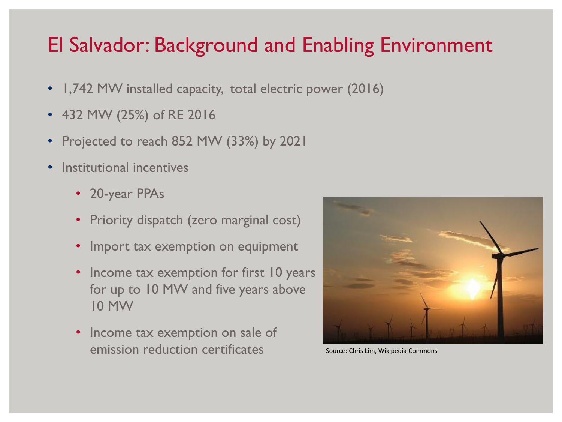# El Salvador: Background and Enabling Environment

- 1,742 MW installed capacity, total electric power (2016)
- 432 MW (25%) of RE 2016
- Projected to reach 852 MW (33%) by 2021
- Institutional incentives
	- 20-year PPAs
	- Priority dispatch (zero marginal cost)
	- Import tax exemption on equipment
	- Income tax exemption for first 10 years for up to 10 MW and five years above 10 MW
	- Income tax exemption on sale of emission reduction certificates



Source: Chris Lim, Wikipedia Commons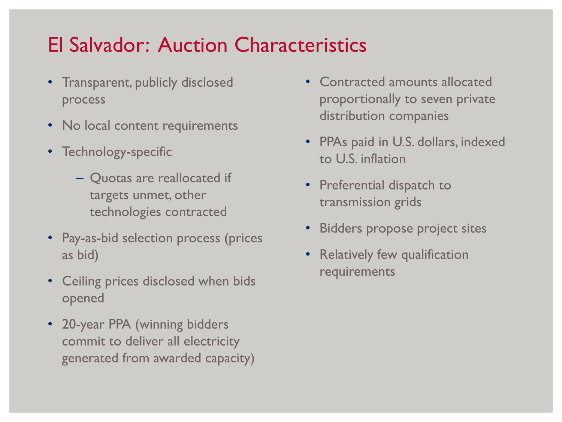# El Salvador: Auction Characteristics

- Transparent, publicly disclosed process
- No local content requirements
- Technology-specific
	- Quotas are reallocated if targets unmet, other technologies contracted
- Pay-as-bid selection process (prices as bid)
- Ceiling prices disclosed when bids opened
- 20-year PPA (winning bidders commit to deliver all electricity generated from awarded capacity)
- Contracted amounts allocated proportionally to seven private distribution companies
- PPAs paid in U.S. dollars, indexed to U.S. inflation
- Preferential dispatch to transmission grids
- Bidders propose project sites
- Relatively few qualification requirements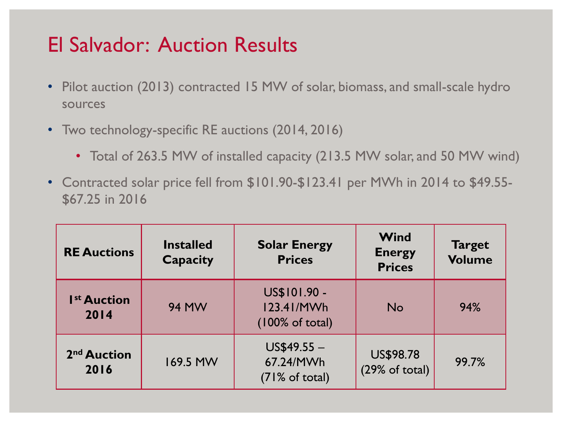# El Salvador: Auction Results

- Pilot auction (2013) contracted 15 MW of solar, biomass, and small-scale hydro sources
- Two technology-specific RE auctions (2014, 2016)
	- Total of 263.5 MW of installed capacity (213.5 MW solar, and 50 MW wind)
- Contracted solar price fell from \$101.90-\$123.41 per MWh in 2014 to \$49.55- \$67.25 in 2016

| <b>RE Auctions</b>              | <b>Installed</b><br><b>Capacity</b> | <b>Solar Energy</b><br><b>Prices</b>                     | Wind<br><b>Energy</b><br><b>Prices</b> | <b>Target</b><br><b>Volume</b> |
|---------------------------------|-------------------------------------|----------------------------------------------------------|----------------------------------------|--------------------------------|
| I <sup>st</sup> Auction<br>2014 | <b>94 MW</b>                        | US\$101.90 -<br>123.41/MWh<br>$(100\% \text{ of total})$ | <b>No</b>                              | 94%                            |
| 2 <sup>nd</sup> Auction<br>2016 | 169.5 MW                            | $US$49.55 -$<br>67.24/MWh<br>$(71\% \text{ of total})$   | <b>US\$98.78</b><br>(29% of total)     | 99.7%                          |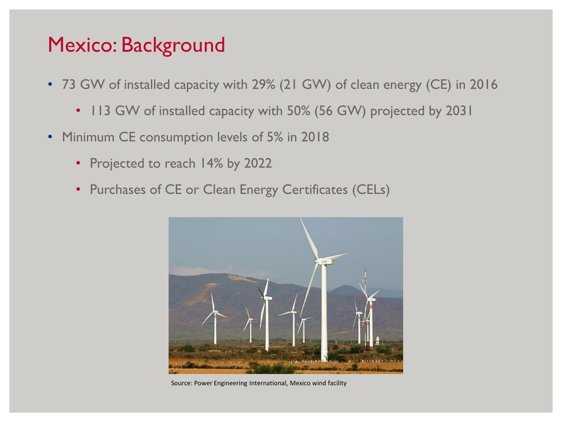#### Mexico: Background

- 73 GW of installed capacity with 29% (21 GW) of clean energy (CE) in 2016
	- 113 GW of installed capacity with 50% (56 GW) projected by 2031
- Minimum CE consumption levels of 5% in 2018
	- Projected to reach 14% by 2022
	- Purchases of CE or Clean Energy Certificates (CELs)



Source: Power Engineering International, Mexico wind facility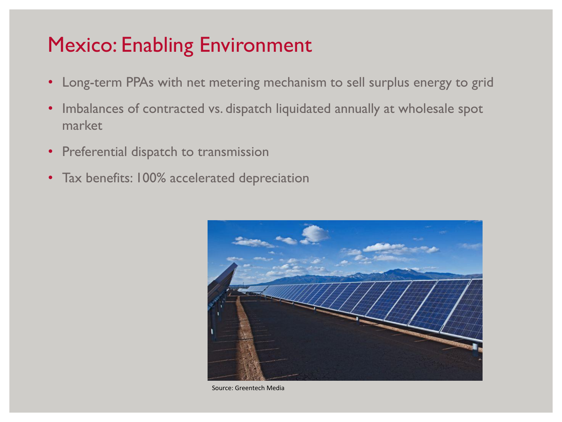# Mexico: Enabling Environment

- Long-term PPAs with net metering mechanism to sell surplus energy to grid
- Imbalances of contracted vs. dispatch liquidated annually at wholesale spot market
- Preferential dispatch to transmission
- Tax benefits: 100% accelerated depreciation



Source: Greentech Media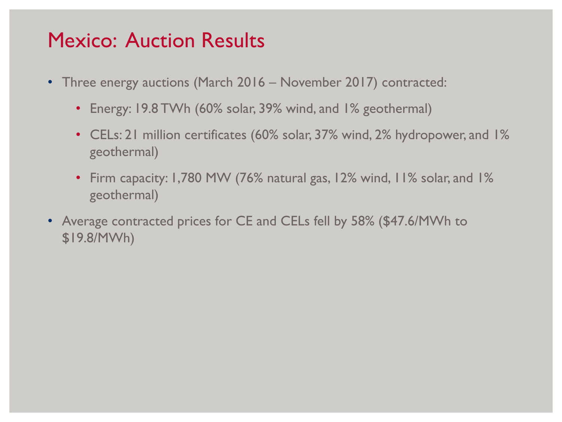#### Mexico: Auction Results

- Three energy auctions (March 2016 November 2017) contracted:
	- Energy: 19.8 TWh (60% solar, 39% wind, and 1% geothermal)
	- CELs: 21 million certificates (60% solar, 37% wind, 2% hydropower, and 1% geothermal)
	- Firm capacity: 1,780 MW (76% natural gas, 12% wind, 11% solar, and 1% geothermal)
- Average contracted prices for CE and CELs fell by 58% (\$47.6/MWh to \$19.8/MWh)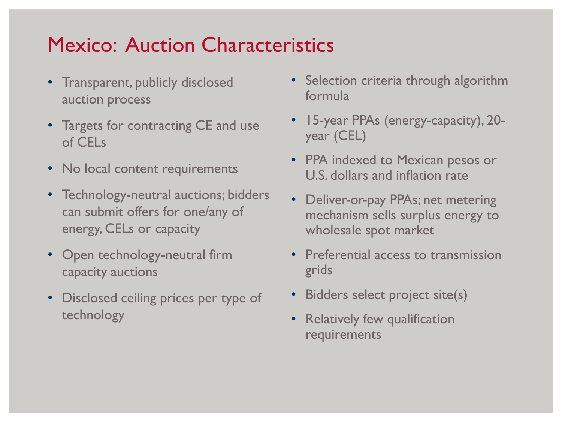# Mexico: Auction Characteristics

- Transparent, publicly disclosed auction process
- Targets for contracting CE and use of CELs
- No local content requirements
- Technology-neutral auctions; bidders can submit offers for one/any of energy, CELs or capacity
- Open technology-neutral firm capacity auctions
- Disclosed ceiling prices per type of technology
- Selection criteria through algorithm formula
- 15-year PPAs (energy-capacity), 20 year (CEL)
- PPA indexed to Mexican pesos or U.S. dollars and inflation rate
- Deliver-or-pay PPAs; net metering mechanism sells surplus energy to wholesale spot market
- Preferential access to transmission grids
- Bidders select project site(s)
- Relatively few qualification requirements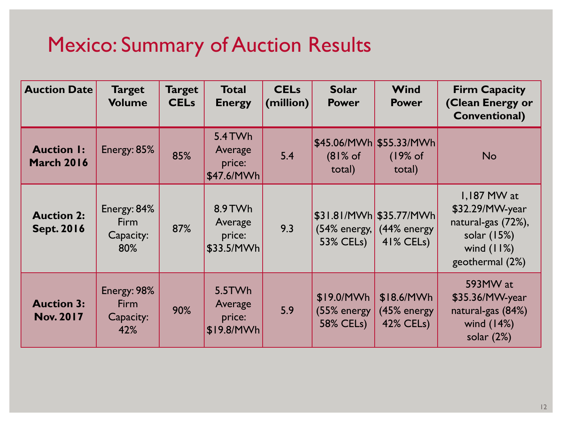# Mexico: Summary of Auction Results

| <b>Auction Date</b>                    | <b>Target</b><br><b>Volume</b>                 | <b>Target</b><br><b>CELs</b> | <b>Total</b><br><b>Energy</b>              | <b>CELs</b><br>(million) | <b>Solar</b><br><b>Power</b>                  | Wind<br><b>Power</b>                                                       | <b>Firm Capacity</b><br>(Clean Energy or<br><b>Conventional)</b>                                         |
|----------------------------------------|------------------------------------------------|------------------------------|--------------------------------------------|--------------------------|-----------------------------------------------|----------------------------------------------------------------------------|----------------------------------------------------------------------------------------------------------|
| <b>Auction I:</b><br><b>March 2016</b> | Energy: 85%                                    | 85%                          | 5.4 TWh<br>Average<br>price:<br>\$47.6/MWh | 5.4                      | $(81%$ of<br>total)                           | $$45.06/MWh$ $$55.33/MWh$<br>(19% of<br>total)                             | <b>No</b>                                                                                                |
| <b>Auction 2:</b><br><b>Sept. 2016</b> | Energy: 84%<br><b>Firm</b><br>Capacity:<br>80% | 87%                          | 8.9 TWh<br>Average<br>price:<br>\$33.5/MWh | 9.3                      | 53% CELs)                                     | \$31.81/MWh \$35.77/MWh <br>$(54\%$ energy, $(44\%$ energy<br>$41\%$ CELs) | $1,187$ MW at<br>\$32.29/MW-year<br>natural-gas (72%),<br>solar (15%)<br>wind $(11%)$<br>geothermal (2%) |
| <b>Auction 3:</b><br><b>Nov. 2017</b>  | Energy: 98%<br><b>Firm</b><br>Capacity:<br>42% | 90%                          | 5.5TWh<br>Average<br>price:<br>\$19.8/MWh  | 5.9                      | \$19.0/MWh<br>(55% energy<br><b>58% CELs)</b> | \$18.6/MWh<br>(45% energy<br><b>42% CELs)</b>                              | 593MW at<br>\$35.36/MW-year<br>natural-gas (84%)<br>wind $(14%)$<br>solar $(2%)$                         |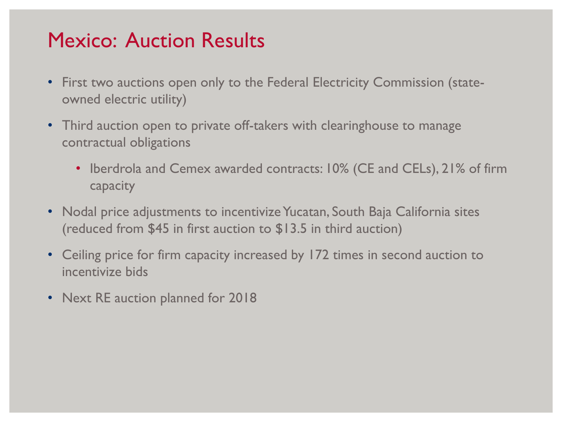#### Mexico: Auction Results

- First two auctions open only to the Federal Electricity Commission (stateowned electric utility)
- Third auction open to private off-takers with clearinghouse to manage contractual obligations
	- Iberdrola and Cemex awarded contracts: 10% (CE and CELs), 21% of firm capacity
- Nodal price adjustments to incentivize Yucatan, South Baja California sites (reduced from \$45 in first auction to \$13.5 in third auction)
- Ceiling price for firm capacity increased by 172 times in second auction to incentivize bids
- Next RE auction planned for 2018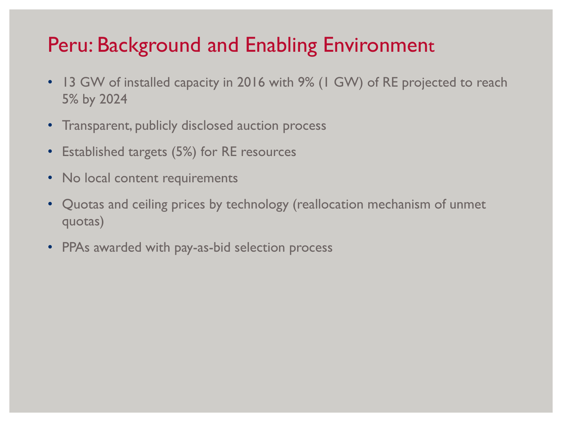# Peru: Background and Enabling Environment

- 13 GW of installed capacity in 2016 with 9% (1 GW) of RE projected to reach 5% by 2024
- Transparent, publicly disclosed auction process
- Established targets (5%) for RE resources
- No local content requirements
- Quotas and ceiling prices by technology (reallocation mechanism of unmet quotas)
- PPAs awarded with pay-as-bid selection process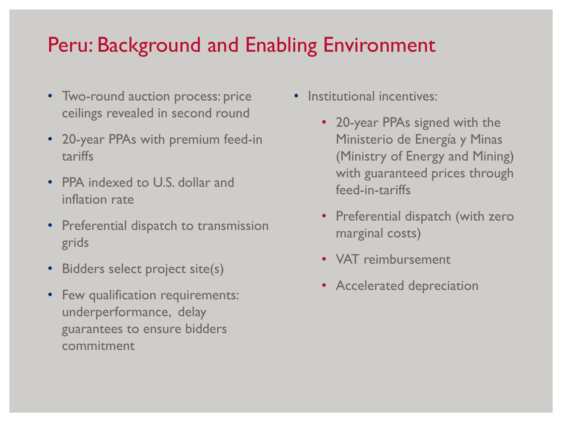# Peru: Background and Enabling Environment

- Two-round auction process: price ceilings revealed in second round
- 20-year PPAs with premium feed-in tariffs
- PPA indexed to U.S. dollar and inflation rate
- Preferential dispatch to transmission grids
- Bidders select project site(s)
- Few qualification requirements: underperformance, delay guarantees to ensure bidders commitment
- Institutional incentives:
	- 20-year PPAs signed with the Ministerio de Energía y Minas (Ministry of Energy and Mining) with guaranteed prices through feed-in-tariffs
	- Preferential dispatch (with zero marginal costs)
	- VAT reimbursement
	- Accelerated depreciation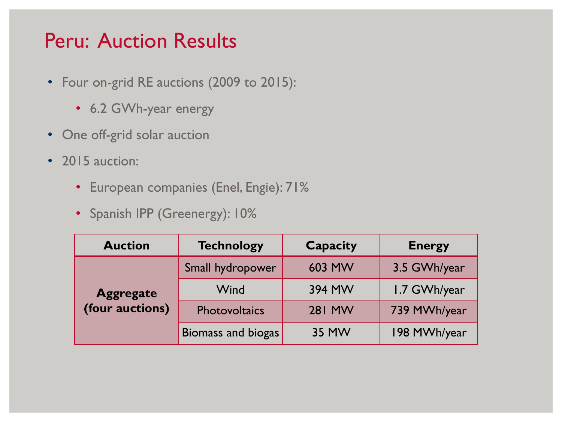#### Peru: Auction Results

- Four on-grid RE auctions (2009 to 2015):
	- 6.2 GWh-year energy
- One off-grid solar auction
- 2015 auction:
	- European companies (Enel, Engie): 71%
	- Spanish IPP (Greenergy): 10%

| <b>Auction</b>   | <b>Technology</b>  |               | <b>Energy</b> |
|------------------|--------------------|---------------|---------------|
| <b>Aggregate</b> | Small hydropower   | 603 MW        | 3.5 GWh/year  |
|                  | Wind               | 394 MW        | 1.7 GWh/year  |
| (four auctions)  | Photovoltaics      | <b>281 MW</b> | 739 MWh/year  |
|                  | Biomass and biogas | 35 MW         | 198 MWh/year  |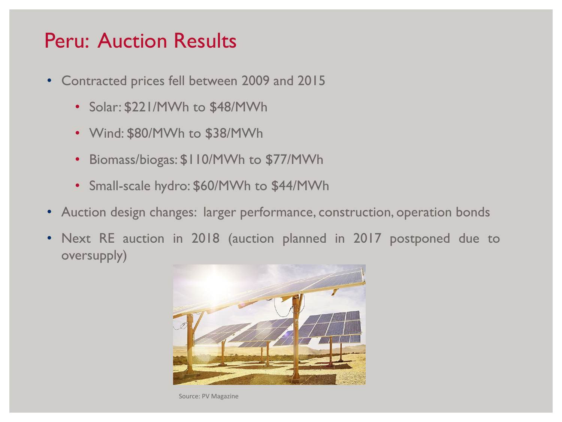#### Peru: Auction Results

- Contracted prices fell between 2009 and 2015
	- Solar: \$221/MWh to \$48/MWh
	- Wind: \$80/MWh to \$38/MWh
	- Biomass/biogas: \$110/MWh to \$77/MWh
	- Small-scale hydro: \$60/MWh to \$44/MWh
- Auction design changes: larger performance, construction, operation bonds
- Next RE auction in 2018 (auction planned in 2017 postponed due to oversupply)



Source: PV Magazine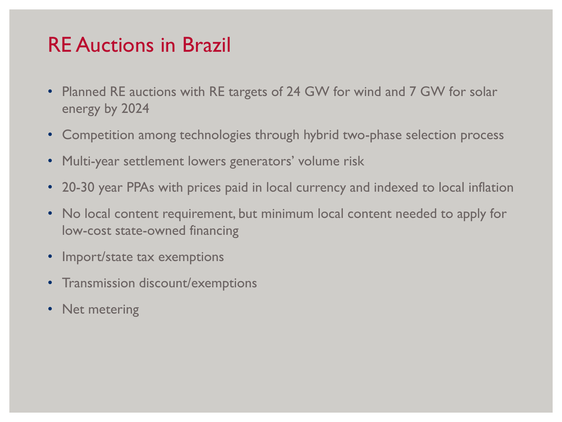#### RE Auctions in Brazil

- Planned RE auctions with RE targets of 24 GW for wind and 7 GW for solar energy by 2024
- Competition among technologies through hybrid two-phase selection process
- Multi-year settlement lowers generators' volume risk
- 20-30 year PPAs with prices paid in local currency and indexed to local inflation
- No local content requirement, but minimum local content needed to apply for low-cost state-owned financing
- Import/state tax exemptions
- Transmission discount/exemptions
- Net metering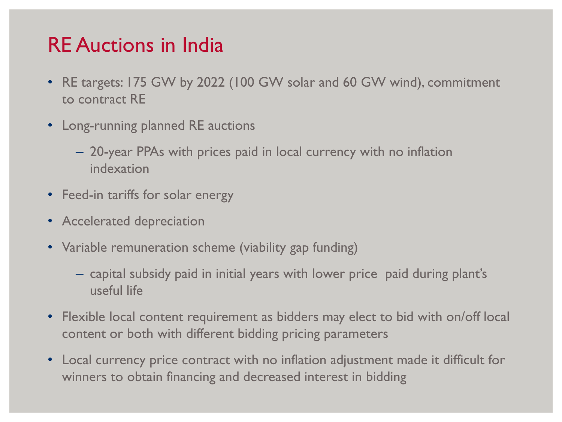### RE Auctions in India

- RE targets: 175 GW by 2022 (100 GW solar and 60 GW wind), commitment to contract RE
- Long-running planned RE auctions
	- 20-year PPAs with prices paid in local currency with no inflation indexation
- Feed-in tariffs for solar energy
- Accelerated depreciation
- Variable remuneration scheme (viability gap funding)
	- capital subsidy paid in initial years with lower price paid during plant's useful life
- Flexible local content requirement as bidders may elect to bid with on/off local content or both with different bidding pricing parameters
- Local currency price contract with no inflation adjustment made it difficult for winners to obtain financing and decreased interest in bidding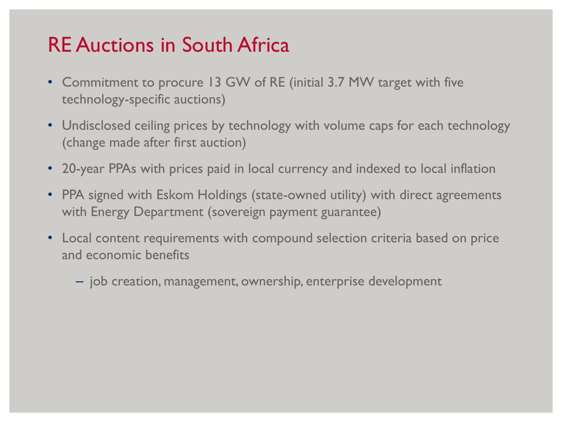# RE Auctions in South Africa

- Commitment to procure 13 GW of RE (initial 3.7 MW target with five technology-specific auctions)
- Undisclosed ceiling prices by technology with volume caps for each technology (change made after first auction)
- 20-year PPAs with prices paid in local currency and indexed to local inflation
- PPA signed with Eskom Holdings (state-owned utility) with direct agreements with Energy Department (sovereign payment guarantee)
- Local content requirements with compound selection criteria based on price and economic benefits
	- job creation, management, ownership, enterprise development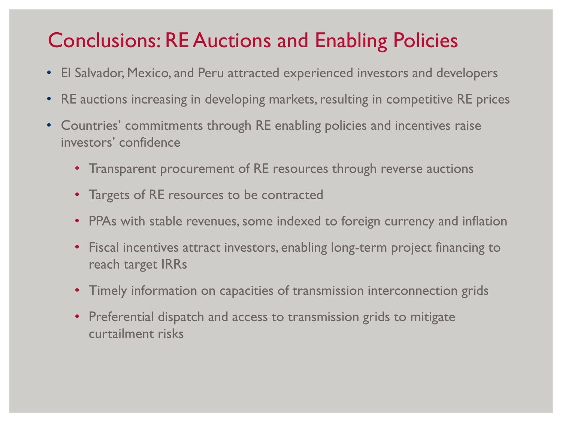# Conclusions: RE Auctions and Enabling Policies

- El Salvador, Mexico, and Peru attracted experienced investors and developers
- RE auctions increasing in developing markets, resulting in competitive RE prices
- Countries' commitments through RE enabling policies and incentives raise investors' confidence
	- Transparent procurement of RE resources through reverse auctions
	- Targets of RE resources to be contracted
	- PPAs with stable revenues, some indexed to foreign currency and inflation
	- Fiscal incentives attract investors, enabling long-term project financing to reach target IRRs
	- Timely information on capacities of transmission interconnection grids
	- Preferential dispatch and access to transmission grids to mitigate curtailment risks